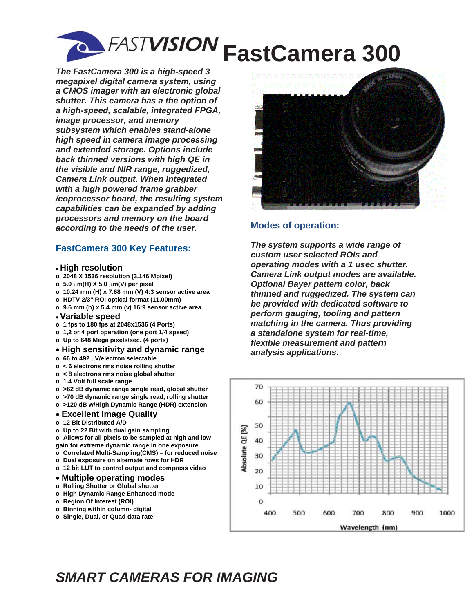

*The FastCamera 300 is a high-speed 3 megapixel digital camera system, using a CMOS imager with an electronic global shutter. This camera has a the option of a high-speed, scalable, integrated FPGA, image processor, and memory subsystem which enables stand-alone high speed in camera image processing and extended storage. Options include back thinned versions with high QE in the visible and NIR range, ruggedized, Camera Link output. When integrated with a high powered frame grabber /coprocessor board, the resulting system capabilities can be expanded by adding processors and memory on the board according to the needs of the user.* 

### **FastCamera 300 Key Features:**

#### **High resolution**

- **o 2048 X 1536 resolution (3.146 Mpixel)**
- **o 5.0 m(H) X 5.0 m(V) per pixel**
- **o 10.24 mm (H) x 7.68 mm (V) 4:3 sensor active area**
- **o HDTV 2/3" ROI optical format (11.00mm)**
- **o 9.6 mm (h) x 5.4 mm (v) 16:9 sensor active area**
- **Variable speed**
- **o 1 fps to 180 fps at 2048x1536 (4 Ports)**
- **o 1,2 or 4 port operation (one port 1/4 speed)**
- **o Up to 648 Mega pixels/sec. (4 ports)**
- **High sensitivity and dynamic range**
- **o 66 to 492 V/electron selectable**
- **o < 6 electrons rms noise rolling shutter**
- **o < 8 electrons rms noise global shutter**
- **o 1.4 Volt full scale range**
- **o >62 dB dynamic range single read, global shutter**
- **o >70 dB dynamic range single read, rolling shutter**
- **o >120 dB w/High Dynamic Range (HDR) extension**

#### **Excellent Image Quality**

- **o 12 Bit Distributed A/D**
- **o Up to 22 Bit with dual gain sampling**

**o Allows for all pixels to be sampled at high and low gain for extreme dynamic range in one exposure** 

- **o Correlated Multi-Sampling(CMS) for reduced noise**
- **o Dual exposure on alternate rows for HDR**
- **o 12 bit LUT to control output and compress video**

#### **Multiple operating modes**

- **o Rolling Shutter or Global shutter**
- **o High Dynamic Range Enhanced mode**
- **o Region Of Interest (ROI)**
- **o Binning within column- digital**
- **o Single, Dual, or Quad data rate**



## **Modes of operation:**

*The system supports a wide range of custom user selected ROIs and operating modes with a 1 usec shutter. Camera Link output modes are available. Optional Bayer pattern color, back thinned and ruggedized. The system can be provided with dedicated software to perform gauging, tooling and pattern matching in the camera. Thus providing a standalone system for real-time, flexible measurement and pattern analysis applications.*



# *SMART CAMERAS FOR IMAGING*